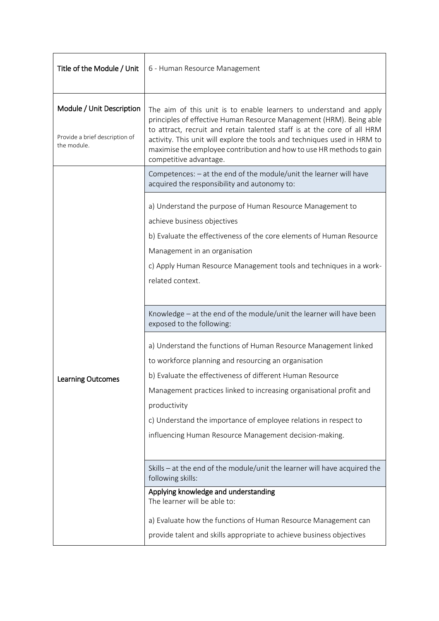| Title of the Module / Unit                                                 | 6 - Human Resource Management                                                                                                                                                                                                                                                                                                                                                                      |  |
|----------------------------------------------------------------------------|----------------------------------------------------------------------------------------------------------------------------------------------------------------------------------------------------------------------------------------------------------------------------------------------------------------------------------------------------------------------------------------------------|--|
| Module / Unit Description<br>Provide a brief description of<br>the module. | The aim of this unit is to enable learners to understand and apply<br>principles of effective Human Resource Management (HRM). Being able<br>to attract, recruit and retain talented staff is at the core of all HRM<br>activity. This unit will explore the tools and techniques used in HRM to<br>maximise the employee contribution and how to use HR methods to gain<br>competitive advantage. |  |
|                                                                            | Competences: $-$ at the end of the module/unit the learner will have<br>acquired the responsibility and autonomy to:                                                                                                                                                                                                                                                                               |  |
|                                                                            | a) Understand the purpose of Human Resource Management to<br>achieve business objectives<br>b) Evaluate the effectiveness of the core elements of Human Resource<br>Management in an organisation<br>c) Apply Human Resource Management tools and techniques in a work-<br>related context.                                                                                                        |  |
| <b>Learning Outcomes</b>                                                   | Knowledge - at the end of the module/unit the learner will have been<br>exposed to the following:                                                                                                                                                                                                                                                                                                  |  |
|                                                                            | a) Understand the functions of Human Resource Management linked<br>to workforce planning and resourcing an organisation<br>b) Evaluate the effectiveness of different Human Resource<br>Management practices linked to increasing organisational profit and<br>productivity<br>c) Understand the importance of employee relations in respect to                                                    |  |
|                                                                            | influencing Human Resource Management decision-making.                                                                                                                                                                                                                                                                                                                                             |  |
|                                                                            | Skills - at the end of the module/unit the learner will have acquired the<br>following skills:                                                                                                                                                                                                                                                                                                     |  |
|                                                                            | Applying knowledge and understanding<br>The learner will be able to:                                                                                                                                                                                                                                                                                                                               |  |
|                                                                            | a) Evaluate how the functions of Human Resource Management can                                                                                                                                                                                                                                                                                                                                     |  |
|                                                                            | provide talent and skills appropriate to achieve business objectives                                                                                                                                                                                                                                                                                                                               |  |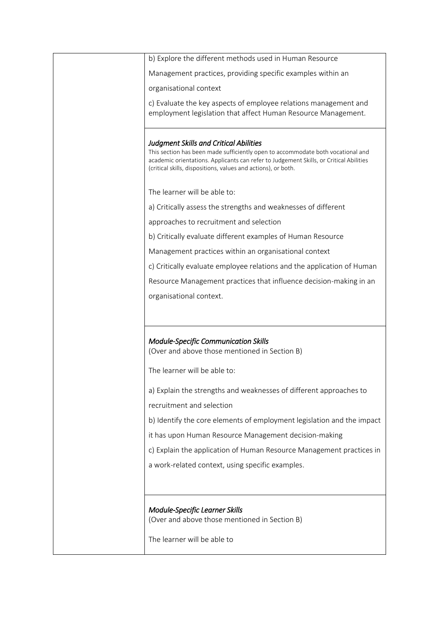| b) Explore the different methods used in Human Resource                                                                                                                                                                                                                                     |
|---------------------------------------------------------------------------------------------------------------------------------------------------------------------------------------------------------------------------------------------------------------------------------------------|
| Management practices, providing specific examples within an                                                                                                                                                                                                                                 |
| organisational context                                                                                                                                                                                                                                                                      |
| c) Evaluate the key aspects of employee relations management and<br>employment legislation that affect Human Resource Management.                                                                                                                                                           |
| <b>Judgment Skills and Critical Abilities</b><br>This section has been made sufficiently open to accommodate both vocational and<br>academic orientations. Applicants can refer to Judgement Skills, or Critical Abilities<br>(critical skills, dispositions, values and actions), or both. |
| The learner will be able to:                                                                                                                                                                                                                                                                |
| a) Critically assess the strengths and weaknesses of different                                                                                                                                                                                                                              |
| approaches to recruitment and selection                                                                                                                                                                                                                                                     |
| b) Critically evaluate different examples of Human Resource                                                                                                                                                                                                                                 |
| Management practices within an organisational context                                                                                                                                                                                                                                       |
| c) Critically evaluate employee relations and the application of Human                                                                                                                                                                                                                      |
| Resource Management practices that influence decision-making in an                                                                                                                                                                                                                          |
| organisational context.                                                                                                                                                                                                                                                                     |
|                                                                                                                                                                                                                                                                                             |
| <b>Module-Specific Communication Skills</b><br>(Over and above those mentioned in Section B)                                                                                                                                                                                                |
| The learner will be able to:                                                                                                                                                                                                                                                                |
| a) Explain the strengths and weaknesses of different approaches to<br>recruitment and selection                                                                                                                                                                                             |
| b) Identify the core elements of employment legislation and the impact                                                                                                                                                                                                                      |
| it has upon Human Resource Management decision-making                                                                                                                                                                                                                                       |
| c) Explain the application of Human Resource Management practices in                                                                                                                                                                                                                        |
| a work-related context, using specific examples.                                                                                                                                                                                                                                            |
|                                                                                                                                                                                                                                                                                             |
|                                                                                                                                                                                                                                                                                             |
| <b>Module-Specific Learner Skills</b><br>(Over and above those mentioned in Section B)                                                                                                                                                                                                      |
| The learner will be able to                                                                                                                                                                                                                                                                 |